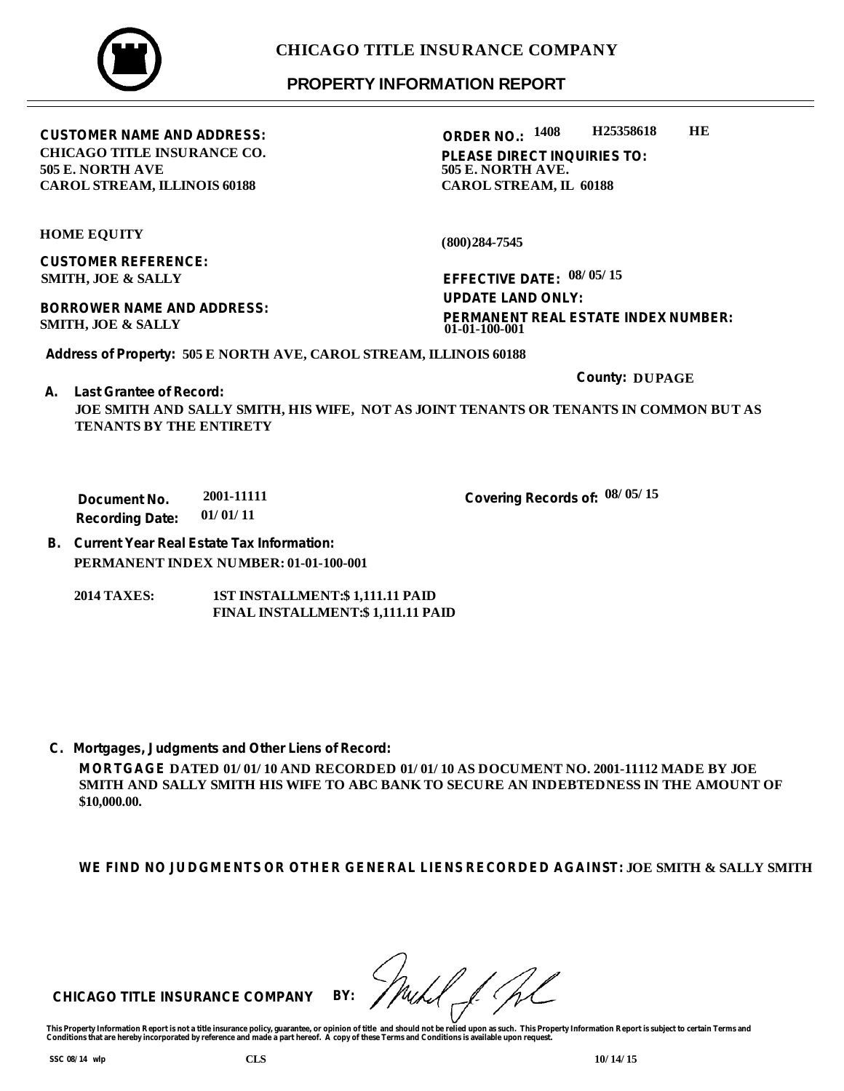## **PROPERTY INFORMATION REPORT**

**ORDER NO.: 1408 H25358618 HE**

**PLEASE DIRECT INQUIRIES TO: 505 E. NORTH AVE. CAROL STREAM, IL 60188** 

**HOME EQUITY**

**505 E. NORTH AVE**

**CUSTOMER REFERENCE: SMITH, JOE & SALLY**

**BORROWER NAME AND ADDRESS: SMITH, JOE & SALLY**

**CUSTOMER NAME AND ADDRESS:**

**CHICAGO TITLE INSURANCE CO.**

**CAROL STREAM, ILLINOIS 60188** 

**(800)284-7545**

**EFFECTIVE DATE: 08/05/15 PERMANENT REAL ESTATE INDEX NUMBER: UPDATE LAND ONLY: 01-01-100-001**

**Covering Records of: 08/05/15**

**County: DUPAGE**

**Address of Property: 505 E NORTH AVE, CAROL STREAM, ILLINOIS 60188**

**A. Last Grantee of Record:**

**JOE SMITH AND SALLY SMITH, HIS WIFE, NOT AS JOINT TENANTS OR TENANTS IN COMMON BUT AS TENANTS BY THE ENTIRETY** 

**Document No. Recording Date: 2001-11111 01/01/11**

**B. Current Year Real Estate Tax Information: PERMANENT INDEX NUMBER: 01-01-100-001**

**2014 TAXES: 1ST INSTALLMENT:\$ 1,111.11 PAID FINAL INSTALLMENT:\$ 1,111.11 PAID**

**C. Mortgages, Judgments and Other Liens of Record:**

**MORTGAGE DATED 01/01/10 AND RECORDED 01/01/10 AS DOCUMENT NO. 2001-11112 MADE BY JOE SMITH AND SALLY SMITH HIS WIFE TO ABC BANK TO SECURE AN INDEBTEDNESS IN THE AMOUNT OF \$10,000.00.**

**WE FIND NO JUDGMENTS OR OTHER GENERAL LIENS RECORDED AGAINST: JOE SMITH & SALLY SMITH** 

**CHICAGO TITLE INSURANCE COMPANY BY:**

This Property Information Report is not a title insurance policy, guarantee, or opinion of title and should not be relied upon as such. This Property Information Report is subject to certain Terms and<br>Conditions that are h